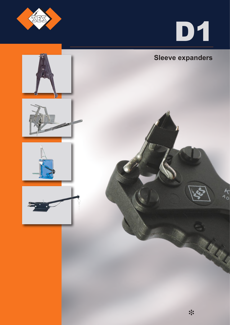



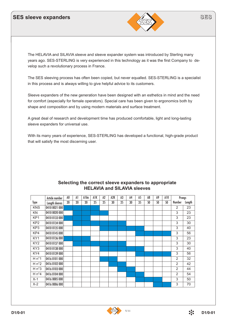## **SES sleeve expanders**



The HELAVIA and SILAVIA sleeve and sleeve expander system was introduced by Sterling many years ago. SES-STERLING is very experienced in this technology as it was the first Company to develop such a revolutionary process in France.

The SES sleeving process has often been copied, but never equalled. SES-STERLING is a specialist in this process and is always willing to give helpful advice to its customers.

Sleeve expanders of the new generation have been designed with an esthetics in mind and the need for comfort (especially for female operators). Special care has been given to ergonomics both by shape and composition and by using modern materials and surface treatment.

A great deal of research and development time has produced comfortable, light and long-lasting sleeve expanders for universal use.

With its many years of experience, SES-STERLING has developed a functional, high-grade product that will satisfy the most discerning user.

|                 | Article number | A <sub>0</sub> | Al | Albis | AIK | A <sub>2</sub> | A2K | A3 | A4 | A5 | A8 | A9 | A10 | Prongs         |        |
|-----------------|----------------|----------------|----|-------|-----|----------------|-----|----|----|----|----|----|-----|----------------|--------|
| Type            | Length sleeves | 20             | 20 | 20    | 25  | 25             | 30  | 25 | 30 | 35 | 50 | 50 | 50  | Number         | Length |
| <b>KNS</b>      | 0410 0021 000  |                |    |       |     |                |     |    |    |    |    |    |     | 2              | 23     |
| KN              | 0410 0020 000  |                |    |       |     |                |     |    |    |    |    |    |     | 3              | 23     |
| KP <sub>1</sub> | 0410 0133 000  |                |    |       |     |                |     |    |    |    |    |    |     | 3              | 23     |
| KP <sub>2</sub> | 0410 0134 000  |                |    |       |     |                |     |    |    |    |    |    |     | 3              | 30     |
| KP3             | 0410 0135 000  |                |    |       |     |                |     |    |    |    |    |    |     | 3              | 40     |
| KP4             | 0410 0145 000  |                |    |       |     |                |     |    |    |    |    |    |     | 3              | 56     |
| KY1             | 0410 0136 000  |                |    |       |     |                |     |    |    |    |    |    |     | 3              | 23     |
| KY <sub>2</sub> | 0410 0137 000  |                |    |       |     |                |     |    |    |    |    |    |     | 3              | 30     |
| KY3             | 0410 0138 000  |                |    |       |     |                |     |    |    |    |    |    |     | 3              | 40     |
| KY4             | 0410 0139 000  |                |    |       |     |                |     |    |    |    |    |    |     | 3              | 56     |
| $H n^{\circ}1$  | 0416 0101 000  |                |    |       |     |                |     |    |    |    |    |    |     | $\overline{2}$ | 32     |
| $H n^{\circ}2$  | 0416 0102 000  |                |    |       |     |                |     |    |    |    |    |    |     | $\overline{2}$ | 42     |
| H n°3           | 0416 0103 000  |                |    |       |     |                |     |    |    |    |    |    |     | $\overline{2}$ | 44     |
| $H n^{\circ}4$  | 0416 0104 000  |                |    |       |     |                |     |    |    |    |    |    |     | $\overline{2}$ | 54     |
| $X-1$           | 0416 0005 000  |                |    |       |     |                |     |    |    |    |    |    |     | 3              | 50     |
| $X-2$           | 0416 0006 000  |                |    |       |     |                |     |    |    |    |    |    |     | 3              | 70     |

#### **Selecting the correct sleeve expanders to appropriate HELAVIA and SILAVIA sleeves**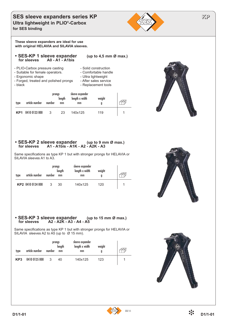#### **SES sleeve expanders series KP ALL AREA CONVERTED ASSESSMENT REPAIRING TO A REP Ultra lightweight in PLIO®-Carbox for SES binding**



**These sleeve expanders are ideal for use with original HELAVIA and SILAVIA sleeves.**

#### **• SES-KP 1 sleeve expander (up to 4,5 mm Ø max.) for sleeves A0 - A1 - A1bis**

- PLIO-Carbox pressure casting Solid construction
- 
- 
- Ergonomic shape Ultra lightweight<br>- Forged, treated and polished prongs After sales service - Forged, treated and polished prongs - black contract to black and the Replacement tools



- 
- 



## length length x width weight Æ type article number number mm mm g **KP1** 0410 0133 000 3 23 140x125 119 1

prongs sleeve expander

#### • **SES-KP 2 sleeve expander** (up to 9 mm Ø max.)<br>
for sleeves A1 - A1bis - A1K - A2 - A2K - A3  **for sleeves A1 - A1bis - A1K - A2 - A2K - A3**

Same specifications as type KP 1 but with stronger prongs for HELAVIA or SILAVIA sleeves A1 to A3.

| type | article number    | number | prongs<br>length<br>mm | sleeve expander<br>length x width<br>mm | weight |  |
|------|-------------------|--------|------------------------|-----------------------------------------|--------|--|
|      | KP2 0410 0134 000 | 3      | 30                     | 140x125                                 | 120    |  |



#### • **SES-KP 3 sleeve expander** (up to 15 mm Ø max.)<br>
for sleeves A2 - A2K - A3 - A4 - A5  **for sleeves A2 - A2K - A3 - A4 - A5**

Same specifications as type KP 1 but with stronger prongs for HELAVIA or SILAVIA sleeves A2 to A5 (up to Ø 15 mm).

| type            | article number | number | prongs<br>length<br>mm | sleeve expander<br>length x width<br>mm | weight |  |  |
|-----------------|----------------|--------|------------------------|-----------------------------------------|--------|--|--|
| KP <sub>3</sub> | 0410 0135 000  | 3      | 40                     | 140x125                                 | 123    |  |  |



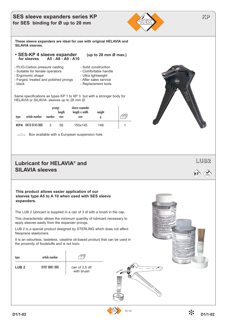## **SES sleeve expanders series KP ALL AREA CONVERTED ASSESSMENT REPAIRING TO A REP for SES binding for Ø up to 28 mm**



**These sleeve expanders are ideal for use with original HELAVIA and SILAVIA sleeves.**

- **SES-KP 4 sleeve expander** (up to 28 mm Ø max.) for sleeves A5 A8 A9 A10
	-
- PLIO-Carbox pressure casting Solid construction<br>- Suitable for female operators.<br>- Comfortable handle
	-
- Suitable for female operators.<br>- Ergonomic shape **-** Comfortable handle Ergonomic shape
- Ergonomic shape
- 
- Forged, treated and polished prongs After sales service
- black black Replacement tools
- -

Same specifications as types KP 1 to KP 3 but with a stronger body for HELAVIA or SILAVIA sleeves up to 28 mm Ø.

|      |                | prongs | length | sleeve expander<br>length x width | weight |  |
|------|----------------|--------|--------|-----------------------------------|--------|--|
| type | article number | number | mm     | mm                                | g      |  |
| KP4  | 0410 0145 000  | 3      | 56     | 150x145                           | 149    |  |

 $\implies$  Box available with a European suspension hole.

## **LUB2 Lubricant for HELAVIA® and SILAVIA sleeves**

**This product allows easier application of our sleeves type A5 to A 10 when used with SES sleeve expanders.** 

The LUB 2 lubricant is supplied in a can of 3 dl with a brush in the cap.

This characteristic allows the minimum quantity of lubricant necessary to apply sleeves easily from the expander prongs.

LUB 2 is a special product designed by STERLING which does not affect Neoprene elastomers.

It is an odourless, tasteless, vaseline oil-based product that can be used in the proximity of foodstuffs and is not toxic.

| type             | article number |                              |  |
|------------------|----------------|------------------------------|--|
| LUB <sub>2</sub> | 0707 0001 000  | can of 2,5 dll<br>with brush |  |



 $H F$   $\leftarrow$  RoHS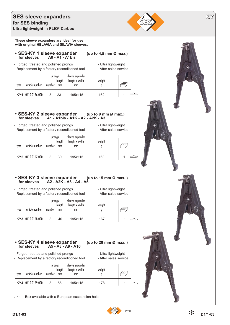#### **SES sleeve expanders for SES binding Ultra lightweight in PLIO®-Carbox**



**These sleeve expanders are ideal for use with original HELAVIA and SILAVIA sleeves.**

# **• SES-KY 1 sleeve expander (up to 4,5 mm Ø max.) for sleeves A0 - A1 - A1bis**

- Forged, treated and polished prongs - Ultra lightweight

- Replacement by a factory reconditioned tool After sales service
- 

| type | article number    | prongs<br>number | lenath<br>mm | sleeve expander<br>length x width<br>mm | weight |  |
|------|-------------------|------------------|--------------|-----------------------------------------|--------|--|
|      | KY1 0410 0136 000 | ્ર               | 23           | 195x115                                 | 162    |  |

#### **• SES-KY 2 sleeve expander (up to 9 mm Ø max.) for sleeves A1 - A1bis - A1K - A2 - A2K - A3**

- Forged, treated and polished prongs Ultra lightweight
- Replacement by a factory reconditioned tool After sales service
- 

| type | article number    | prongs<br>number | length<br>mm | sleeve expander<br>length x width<br>mm | weight<br>g |  |
|------|-------------------|------------------|--------------|-----------------------------------------|-------------|--|
|      | KY2 0410 0137 000 | 3                | 30           | 195x115                                 | 163         |  |

# **• SES-KY 3 sleeve expander (up to 15 mm Ø max. ) for sleeves A2 - A2K - A3 - A4 - A5**

- Forged, treated and polished prongs Ultra lightweight
- Replacement by a factory reconditioned tool After sales service
- 

| type | article number    | prongs<br>number | lenath<br>mm | sleeve expander<br>length x width<br>mm | weight |  |
|------|-------------------|------------------|--------------|-----------------------------------------|--------|--|
|      | KY3 0410 0138 000 | ર                | 40           | 195x115                                 | 167    |  |

**• SES-KY 4 sleeve expander (up to 28 mm Ø max. )**

 **for sleeves A5 - A8 - A9 - A10**

- Replacement by a factory reconditioned tool - After sales service

| type | article number    | prongs<br>number | length<br>mm | sleeve expander<br>length x width<br>mm | weight<br>g |        |
|------|-------------------|------------------|--------------|-----------------------------------------|-------------|--------|
|      | KY4 0410 0139 000 | 3                | 56           | 195x115                                 | 178         | $\sim$ |

 $\implies$  Box available with a European suspension hole.

**D1/1-03**

- Forged, treated and polished prongs - Ultra lightweight

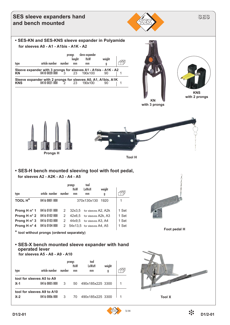

#### **• SES-H bench mounted sleeving tool with foot pedal, for sleeves A2 - A2K - A3 - A4 - A5**

|                       |               |        | prongs<br><b>HxW</b> | tool<br>LxWxH                | weight |       |
|-----------------------|---------------|--------|----------------------|------------------------------|--------|-------|
| type                  | artide number | number | mm                   | mm                           | g      |       |
| TOOL H <sup>*</sup>   | 0416 0001 000 |        |                      | 370x130x130                  | 1920   | 1     |
| Prong H n° 1          | 0416 0101 000 | 2      |                      | 32x3.5 for sleeves A2, A2k   |        | 1 Set |
| Prong H $n^{\circ}$ 2 | 0416 0102 000 | 2      |                      | 42x6,5 for sleeves A2k, A3   |        | 1 Set |
| Prong H $n^{\circ}$ 3 | 0416 0103 000 | 2      |                      | 44x9.5 for sleeves A3, A4    |        | 1 Set |
| Prong H n° 4          | 0416 0104 000 |        |                      | 2 54x13,5 for sleeves A4, A5 |        | 1 Set |



**\* tool without prongs (ordered separately)**

## **• SES-X bench mounted sleeve expander with hand operated lever**

 **for sleeves A5 - A8 - A9 - A10**

|       |                            |        | prongs<br>HxW | tool<br>LxWxH    | weight |   |
|-------|----------------------------|--------|---------------|------------------|--------|---|
| type  | article number             | number | mm            | mm               | g      |   |
|       | tool for sleeves A5 to A9  |        |               |                  |        |   |
| $X-1$ | 0416 0005 000              | 3      | 50            | 490x185x225 3300 |        | 1 |
|       | tool for sleeves A9 to A10 |        |               |                  |        |   |
| $X-2$ | 0416 0006 000              | 3      | 70            | 490x185x225 3300 |        | 1 |